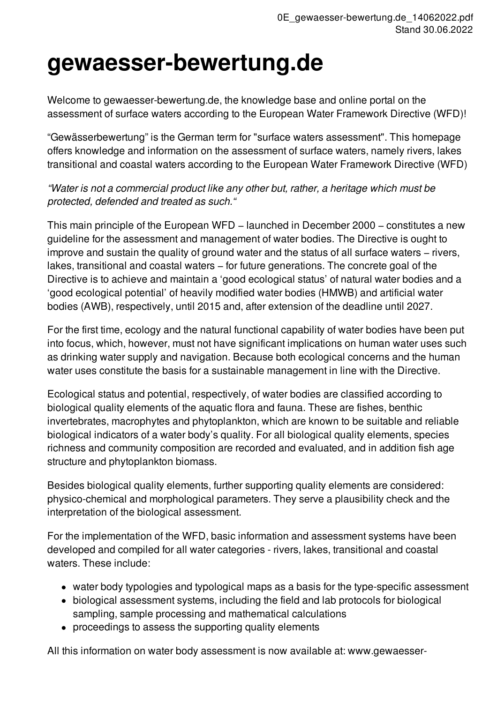## **gewaesser-bewertung.de**

Welcome to gewaesser-bewertung.de, the knowledge base and online portal on the assessment of surface waters according to the European Water Framework Directive (WFD)!

"Gewässerbewertung" is the German term for "surface waters assessment". This homepage offers knowledge and information on the assessment of surface waters, namely rivers, lakes transitional and coastal waters according to the European Water Framework Directive (WFD)

*"Water is not a commercial product like any other but, rather, a heritage which must be protected, defended and treated as such."*

This main principle of the European WFD – launched in December 2000 – constitutes a new guideline for the assessment and management of water bodies. The Directive is ought to improve and sustain the quality of ground water and the status of all surface waters − rivers, lakes, transitional and coastal waters − for future generations. The concrete goal of the Directive is to achieve and maintain a 'good ecological status' of natural water bodies and a 'good ecological potential' of heavily modified water bodies (HMWB) and artificial water bodies (AWB), respectively, until 2015 and, after extension of the deadline until 2027.

For the first time, ecology and the natural functional capability of water bodies have been put into focus, which, however, must not have significant implications on human water uses such as drinking water supply and navigation. Because both ecological concerns and the human water uses constitute the basis for a sustainable management in line with the Directive.

Ecological status and potential, respectively, of water bodies are classified according to biological quality elements of the aquatic flora and fauna. These are fishes, benthic invertebrates, macrophytes and phytoplankton, which are known to be suitable and reliable biological indicators of a water body's quality. For all biological quality elements, species richness and community composition are recorded and evaluated, and in addition fish age structure and phytoplankton biomass.

Besides biological quality elements, further supporting quality elements are considered: physico-chemical and morphological parameters. They serve a plausibility check and the interpretation of the biological assessment.

For the implementation of the WFD, basic information and assessment systems have been developed and compiled for all water categories - rivers, lakes, transitional and coastal waters. These include:

- water body typologies and typological maps as a basis for the type-specific assessment
- biological assessment systems, including the field and lab protocols for biological sampling, sample processing and mathematical calculations
- proceedings to assess the supporting quality elements

All this information on water body assessment is now available at: www.gewaesser-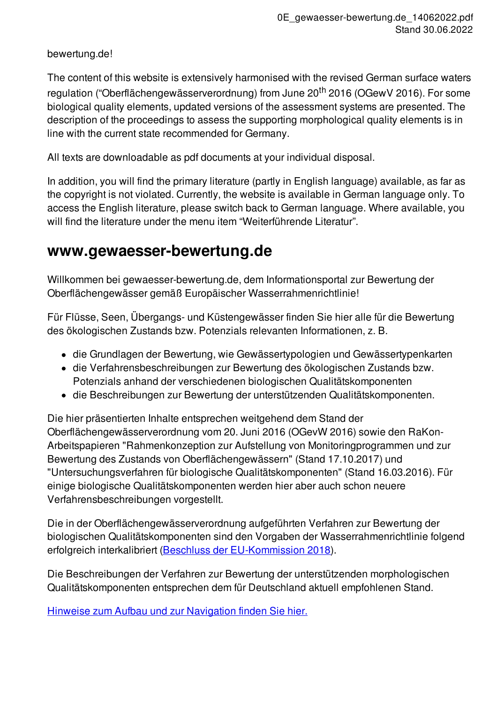bewertung.de!

The content of this website is extensively harmonised with the revised German surface waters regulation ("Oberflächengewässerverordnung) from June 20<sup>th</sup> 2016 (OGewV 2016). For some biological quality elements, updated versions of the assessment systems are presented. The description of the proceedings to assess the supporting morphological quality elements is in line with the current state recommended for Germany.

All texts are downloadable as pdf documents at your individual disposal.

In addition, you will find the primary literature (partly in English language) available, as far as the copyright is not violated. Currently, the website is available in German language only. To access the English literature, please switch back to German language. Where available, you will find the literature under the menu item "Weiterführende Literatur".

## **www.gewaesser-bewertung.de**

Willkommen bei gewaesser-bewertung.de, dem Informationsportal zur Bewertung der Oberflächengewässer gemäß Europäischer Wasserrahmenrichtlinie!

Für Flüsse, Seen, Übergangs- und Küstengewässer finden Sie hier alle für die Bewertung des ökologischen Zustands bzw. Potenzials relevanten Informationen, z. B.

- die Grundlagen der Bewertung, wie Gewässertypologien und Gewässertypenkarten
- die Verfahrensbeschreibungen zur Bewertung des ökologischen Zustands bzw. Potenzials anhand der verschiedenen biologischen Qualitätskomponenten
- die Beschreibungen zur Bewertung der unterstützenden Qualitätskomponenten.

Die hier präsentierten Inhalte entsprechen weitgehend dem Stand der Oberflächengewässerverordnung vom 20. Juni 2016 (OGevW 2016) sowie den RaKon-Arbeitspapieren "Rahmenkonzeption zur Aufstellung von Monitoringprogrammen und zur Bewertung des Zustands von Oberflächengewässern" (Stand 17.10.2017) und "Untersuchungsverfahren für biologische Qualitätskomponenten" (Stand 16.03.2016). Für einige biologische Qualitätskomponenten werden hier aber auch schon neuere Verfahrensbeschreibungen vorgestellt.

Die in der Oberflächengewässerverordnung aufgeführten Verfahren zur Bewertung der biologischen Qualitätskomponenten sind den Vorgaben der Wasserrahmenrichtlinie folgend erfolgreich interkalibriert (Beschluss der [EU-Kommission](http://eur-lex.europa.eu/legal-content/EN/TXT/?qid=1519131448747&uri=CELEX:32018D0229) 2018).

Die Beschreibungen der Verfahren zur Bewertung der unterstützenden morphologischen Qualitätskomponenten entsprechen dem für Deutschland aktuell empfohlenen Stand.

Hinweise zum Aufbau und zur [Navigation](redaxo://433) finden Sie hier.